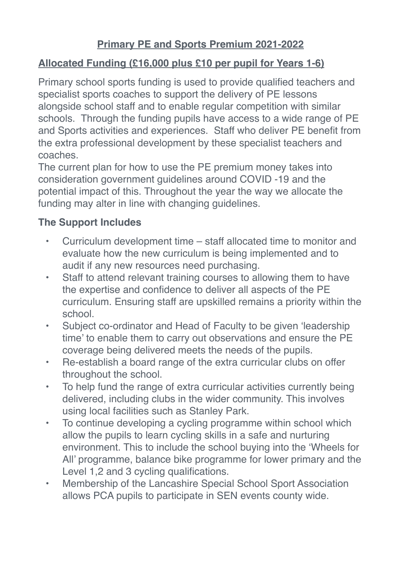## **Allocated Funding (£16,000 plus £10 per pupil for Years 1-6)**

Primary school sports funding is used to provide qualified teachers and specialist sports coaches to support the delivery of PE lessons alongside school staff and to enable regular competition with similar schools. Through the funding pupils have access to a wide range of PE and Sports activities and experiences. Staff who deliver PE benefit from the extra professional development by these specialist teachers and coaches.

The current plan for how to use the PE premium money takes into consideration government guidelines around COVID -19 and the potential impact of this. Throughout the year the way we allocate the funding may alter in line with changing guidelines.

## **The Support Includes**

- Curriculum development time staff allocated time to monitor and evaluate how the new curriculum is being implemented and to audit if any new resources need purchasing.
- Staff to attend relevant training courses to allowing them to have the expertise and confidence to deliver all aspects of the PE curriculum. Ensuring staff are upskilled remains a priority within the school.
- Subject co-ordinator and Head of Faculty to be given 'leadership time' to enable them to carry out observations and ensure the PE coverage being delivered meets the needs of the pupils.
- Re-establish a board range of the extra curricular clubs on offer throughout the school.
- To help fund the range of extra curricular activities currently being delivered, including clubs in the wider community. This involves using local facilities such as Stanley Park.
- To continue developing a cycling programme within school which allow the pupils to learn cycling skills in a safe and nurturing environment. This to include the school buying into the 'Wheels for All' programme, balance bike programme for lower primary and the Level 1,2 and 3 cycling qualifications.
- Membership of the Lancashire Special School Sport Association allows PCA pupils to participate in SEN events county wide.